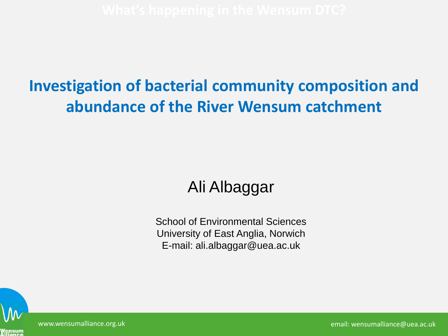#### **Investigation of bacterial community composition and abundance of the River Wensum catchment**

#### Ali Albaggar

School of Environmental Sciences University of East Anglia, Norwich E-mail: ali.albaggar@uea.ac.uk



www.wensumalliance.org.uk email: wensumalliance@uea.ac.uk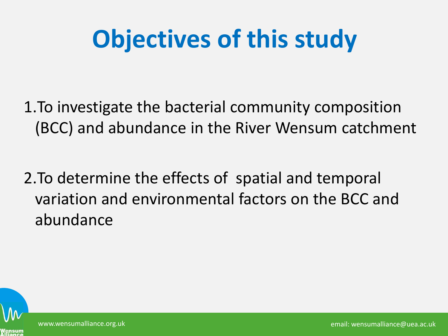# **Objectives of this study**

1.To investigate the bacterial community composition (BCC) and abundance in the River Wensum catchment

2.To determine the effects of spatial and temporal variation and environmental factors on the BCC and abundance

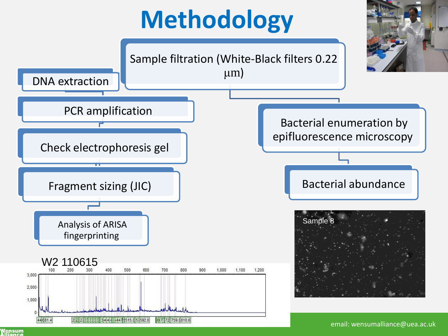# **Methodology**

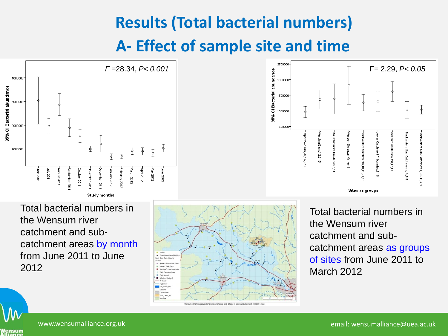### **Results (Total bacterial numbers) A- Effect of sample site and time**



Total bacterial numbers in the Wensum river catchment and subcatchment areas by month from June 2011 to June 2012





Total bacterial numbers in the Wensum river catchment and subcatchment areas as groups of sites from June 2011 to March 2012

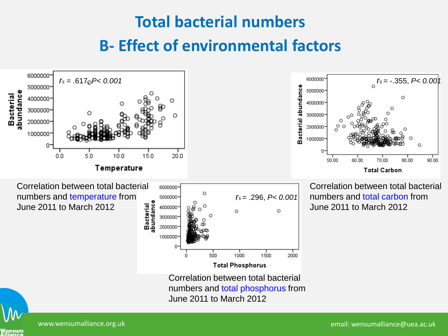### **Total bacterial numbers B- Effect of environmental factors**



/ensum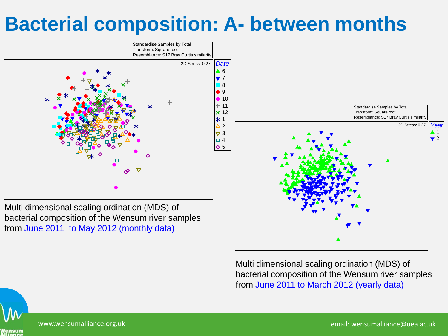### **Bacterial composition: A- between months**



Multi dimensional scaling ordination (MDS) of bacterial composition of the Wensum river samples from June 2011 to May 2012 (monthly data)

> Multi dimensional scaling ordination (MDS) of bacterial composition of the Wensum river samples from June 2011 to March 2012 (yearly data)

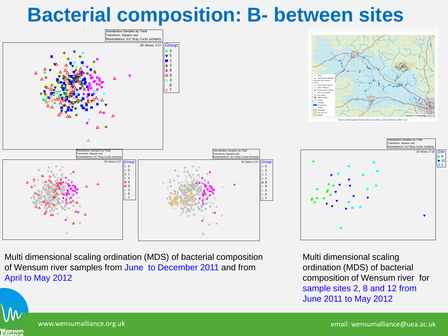#### **Bacterial composition: B- between sites**

Standardise Samples by Total





Multi dimensional scaling ordination (MDS) of bacterial composition of Wensum river samples from June to December 2011 and from April to May 2012





Multi dimensional scaling ordination (MDS) of bacterial composition of Wensum river for sample sites 2, 8 and 12 from June 2011 to May 2012



www.wensumalliance.org.uk email: wensumalliance@uea.ac.uk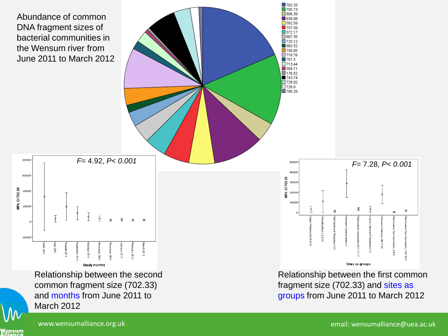



■702.33 795.73

Relationship between the first common fragment size (702.33) and sites as groups from June 2011 to March 2012

March 2012

common fragment size (702.33) and months from June 2011 to

Vensum<br>Vliance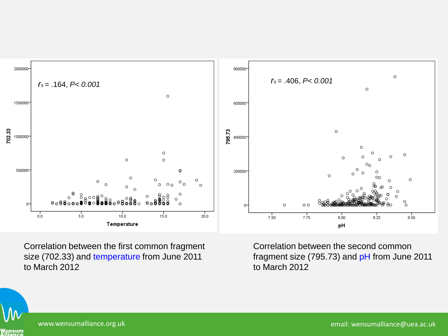

Correlation between the first common fragment size (702.33) and temperature from June 2011 to March 2012

Correlation between the second common fragment size (795.73) and pH from June 2011 to March 2012